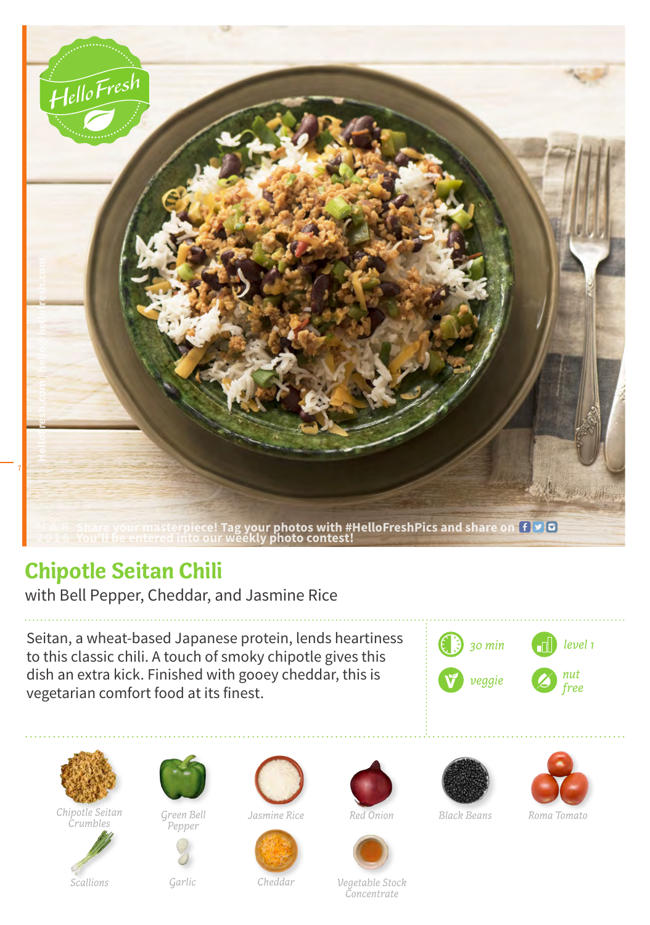

## **Chipotle Seitan Chili**

with Bell Pepper, Cheddar, and Jasmine Rice

Seitan, a wheat-based Japanese protein, lends heartiness to this classic chili. A touch of smoky chipotle gives this dish an extra kick. Finished with gooey cheddar, this is vegetarian comfort food at its finest.





*Chipotle Seitan* 



*Crumbles Green Bell Pepper*





*Jasmine Rice Black Beans*







*Red Onion Roma Tomato*

*Garlic*

*Cheddar Vegetable Stock Concentrate*